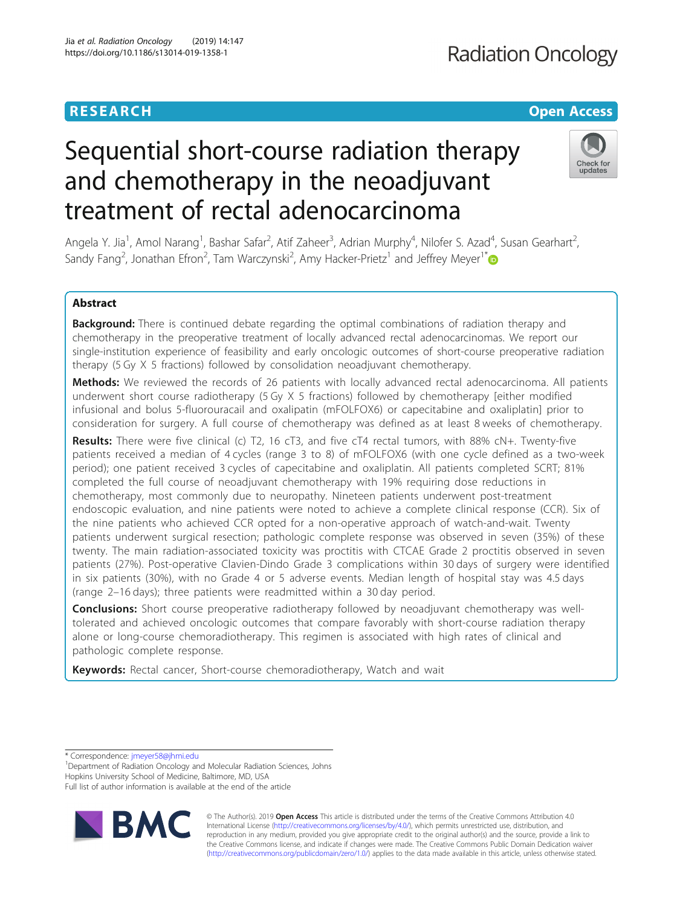# **RESEARCH CHE Open Access**

# Sequential short-course radiation therapy and chemotherapy in the neoadjuvant treatment of rectal adenocarcinoma



Angela Y. Jia<sup>1</sup>, Amol Narang<sup>1</sup>, Bashar Safar<sup>2</sup>, Atif Zaheer<sup>3</sup>, Adrian Murphy<sup>4</sup>, Nilofer S. Azad<sup>4</sup>, Susan Gearhart<sup>2</sup> , Sandy Fang<sup>2</sup>, Jonathan Efron<sup>2</sup>, Tam Warczynski<sup>2</sup>, Amy Hacker-Prietz<sup>1</sup> and Jeffrey Meyer<sup>1\*</sup>

# Abstract

**Background:** There is continued debate regarding the optimal combinations of radiation therapy and chemotherapy in the preoperative treatment of locally advanced rectal adenocarcinomas. We report our single-institution experience of feasibility and early oncologic outcomes of short-course preoperative radiation therapy (5 Gy X 5 fractions) followed by consolidation neoadjuvant chemotherapy.

Methods: We reviewed the records of 26 patients with locally advanced rectal adenocarcinoma. All patients underwent short course radiotherapy (5 Gy X 5 fractions) followed by chemotherapy [either modified infusional and bolus 5-fluorouracail and oxalipatin (mFOLFOX6) or capecitabine and oxaliplatin] prior to consideration for surgery. A full course of chemotherapy was defined as at least 8 weeks of chemotherapy.

Results: There were five clinical (c) T2, 16 cT3, and five cT4 rectal tumors, with 88% cN+. Twenty-five patients received a median of 4 cycles (range 3 to 8) of mFOLFOX6 (with one cycle defined as a two-week period); one patient received 3 cycles of capecitabine and oxaliplatin. All patients completed SCRT; 81% completed the full course of neoadjuvant chemotherapy with 19% requiring dose reductions in chemotherapy, most commonly due to neuropathy. Nineteen patients underwent post-treatment endoscopic evaluation, and nine patients were noted to achieve a complete clinical response (CCR). Six of the nine patients who achieved CCR opted for a non-operative approach of watch-and-wait. Twenty patients underwent surgical resection; pathologic complete response was observed in seven (35%) of these twenty. The main radiation-associated toxicity was proctitis with CTCAE Grade 2 proctitis observed in seven patients (27%). Post-operative Clavien-Dindo Grade 3 complications within 30 days of surgery were identified in six patients (30%), with no Grade 4 or 5 adverse events. Median length of hospital stay was 4.5 days (range 2–16 days); three patients were readmitted within a 30 day period.

**Conclusions:** Short course preoperative radiotherapy followed by neoadjuvant chemotherapy was welltolerated and achieved oncologic outcomes that compare favorably with short-course radiation therapy alone or long-course chemoradiotherapy. This regimen is associated with high rates of clinical and pathologic complete response.

Keywords: Rectal cancer, Short-course chemoradiotherapy, Watch and wait

\* Correspondence: [jmeyer58@jhmi.edu](mailto:jmeyer58@jhmi.edu) <sup>1</sup>

<sup>1</sup>Department of Radiation Oncology and Molecular Radiation Sciences, Johns Hopkins University School of Medicine, Baltimore, MD, USA Full list of author information is available at the end of the article



© The Author(s). 2019 **Open Access** This article is distributed under the terms of the Creative Commons Attribution 4.0 International License [\(http://creativecommons.org/licenses/by/4.0/](http://creativecommons.org/licenses/by/4.0/)), which permits unrestricted use, distribution, and reproduction in any medium, provided you give appropriate credit to the original author(s) and the source, provide a link to the Creative Commons license, and indicate if changes were made. The Creative Commons Public Domain Dedication waiver [\(http://creativecommons.org/publicdomain/zero/1.0/](http://creativecommons.org/publicdomain/zero/1.0/)) applies to the data made available in this article, unless otherwise stated.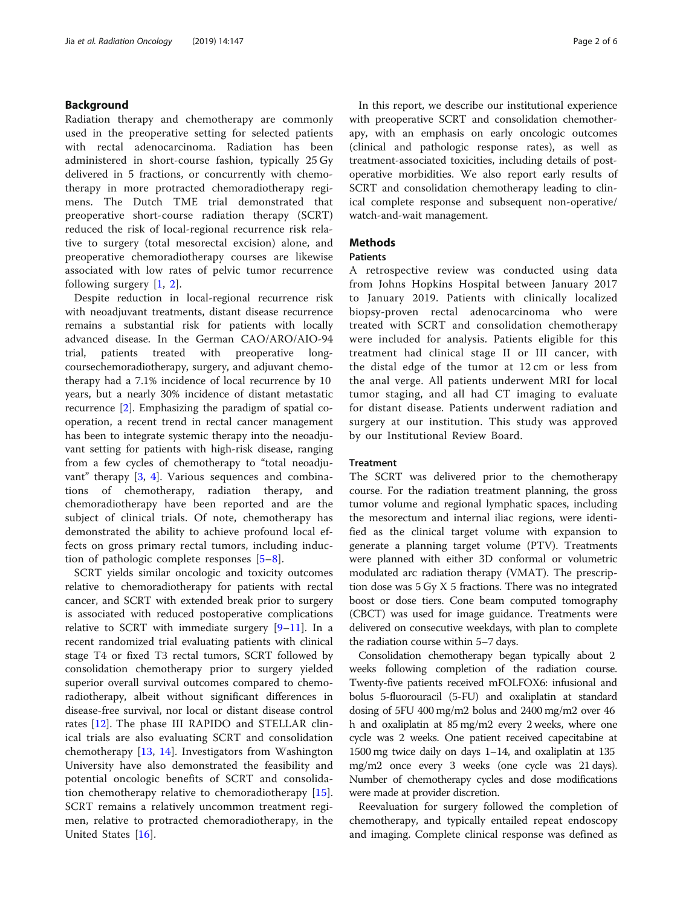# Background

Radiation therapy and chemotherapy are commonly used in the preoperative setting for selected patients with rectal adenocarcinoma. Radiation has been administered in short-course fashion, typically 25 Gy delivered in 5 fractions, or concurrently with chemotherapy in more protracted chemoradiotherapy regimens. The Dutch TME trial demonstrated that preoperative short-course radiation therapy (SCRT) reduced the risk of local-regional recurrence risk relative to surgery (total mesorectal excision) alone, and preoperative chemoradiotherapy courses are likewise associated with low rates of pelvic tumor recurrence following surgery [[1,](#page-5-0) [2](#page-5-0)].

Despite reduction in local-regional recurrence risk with neoadjuvant treatments, distant disease recurrence remains a substantial risk for patients with locally advanced disease. In the German CAO/ARO/AIO-94 trial, patients treated with preoperative longcoursechemoradiotherapy, surgery, and adjuvant chemotherapy had a 7.1% incidence of local recurrence by 10 years, but a nearly 30% incidence of distant metastatic recurrence [\[2](#page-5-0)]. Emphasizing the paradigm of spatial cooperation, a recent trend in rectal cancer management has been to integrate systemic therapy into the neoadjuvant setting for patients with high-risk disease, ranging from a few cycles of chemotherapy to "total neoadjuvant" therapy [\[3,](#page-5-0) [4](#page-5-0)]. Various sequences and combinations of chemotherapy, radiation therapy, and chemoradiotherapy have been reported and are the subject of clinical trials. Of note, chemotherapy has demonstrated the ability to achieve profound local effects on gross primary rectal tumors, including induction of pathologic complete responses [\[5](#page-5-0)–[8](#page-5-0)].

SCRT yields similar oncologic and toxicity outcomes relative to chemoradiotherapy for patients with rectal cancer, and SCRT with extended break prior to surgery is associated with reduced postoperative complications relative to SCRT with immediate surgery  $[9-11]$  $[9-11]$  $[9-11]$  $[9-11]$  $[9-11]$ . In a recent randomized trial evaluating patients with clinical stage T4 or fixed T3 rectal tumors, SCRT followed by consolidation chemotherapy prior to surgery yielded superior overall survival outcomes compared to chemoradiotherapy, albeit without significant differences in disease-free survival, nor local or distant disease control rates [[12](#page-5-0)]. The phase III RAPIDO and STELLAR clinical trials are also evaluating SCRT and consolidation chemotherapy [[13,](#page-5-0) [14](#page-5-0)]. Investigators from Washington University have also demonstrated the feasibility and potential oncologic benefits of SCRT and consolidation chemotherapy relative to chemoradiotherapy [\[15](#page-5-0)]. SCRT remains a relatively uncommon treatment regimen, relative to protracted chemoradiotherapy, in the United States [[16\]](#page-5-0).

In this report, we describe our institutional experience with preoperative SCRT and consolidation chemotherapy, with an emphasis on early oncologic outcomes (clinical and pathologic response rates), as well as treatment-associated toxicities, including details of postoperative morbidities. We also report early results of SCRT and consolidation chemotherapy leading to clinical complete response and subsequent non-operative/ watch-and-wait management.

# **Methods**

# **Patients**

A retrospective review was conducted using data from Johns Hopkins Hospital between January 2017 to January 2019. Patients with clinically localized biopsy-proven rectal adenocarcinoma who were treated with SCRT and consolidation chemotherapy were included for analysis. Patients eligible for this treatment had clinical stage II or III cancer, with the distal edge of the tumor at 12 cm or less from the anal verge. All patients underwent MRI for local tumor staging, and all had CT imaging to evaluate for distant disease. Patients underwent radiation and surgery at our institution. This study was approved by our Institutional Review Board.

# Treatment

The SCRT was delivered prior to the chemotherapy course. For the radiation treatment planning, the gross tumor volume and regional lymphatic spaces, including the mesorectum and internal iliac regions, were identified as the clinical target volume with expansion to generate a planning target volume (PTV). Treatments were planned with either 3D conformal or volumetric modulated arc radiation therapy (VMAT). The prescription dose was 5 Gy X 5 fractions. There was no integrated boost or dose tiers. Cone beam computed tomography (CBCT) was used for image guidance. Treatments were delivered on consecutive weekdays, with plan to complete the radiation course within 5–7 days.

Consolidation chemotherapy began typically about 2 weeks following completion of the radiation course. Twenty-five patients received mFOLFOX6: infusional and bolus 5-fluorouracil (5-FU) and oxaliplatin at standard dosing of 5FU 400 mg/m2 bolus and 2400 mg/m2 over 46 h and oxaliplatin at 85 mg/m2 every 2 weeks, where one cycle was 2 weeks. One patient received capecitabine at 1500 mg twice daily on days 1–14, and oxaliplatin at 135 mg/m2 once every 3 weeks (one cycle was 21 days). Number of chemotherapy cycles and dose modifications were made at provider discretion.

Reevaluation for surgery followed the completion of chemotherapy, and typically entailed repeat endoscopy and imaging. Complete clinical response was defined as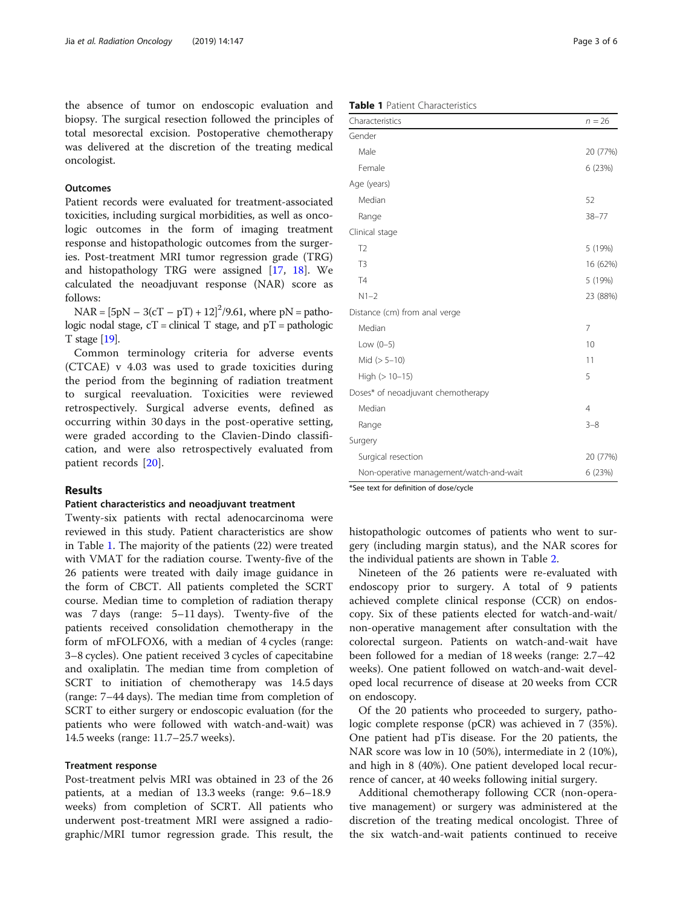the absence of tumor on endoscopic evaluation and biopsy. The surgical resection followed the principles of total mesorectal excision. Postoperative chemotherapy was delivered at the discretion of the treating medical oncologist.

# **Outcomes**

Patient records were evaluated for treatment-associated toxicities, including surgical morbidities, as well as oncologic outcomes in the form of imaging treatment response and histopathologic outcomes from the surgeries. Post-treatment MRI tumor regression grade (TRG) and histopathology TRG were assigned [\[17](#page-5-0), [18](#page-5-0)]. We calculated the neoadjuvant response (NAR) score as follows:

 $NAR = [5pN - 3(cT - pT) + 12]^2/9.61$ , where  $pN =$  pathologic nodal stage,  $cT =$  clinical T stage, and  $pT =$  pathologic T stage [\[19\]](#page-5-0).

Common terminology criteria for adverse events (CTCAE) v 4.03 was used to grade toxicities during the period from the beginning of radiation treatment to surgical reevaluation. Toxicities were reviewed retrospectively. Surgical adverse events, defined as occurring within 30 days in the post-operative setting, were graded according to the Clavien-Dindo classification, and were also retrospectively evaluated from patient records [[20\]](#page-5-0).

# Results

# Patient characteristics and neoadjuvant treatment

Twenty-six patients with rectal adenocarcinoma were reviewed in this study. Patient characteristics are show in Table 1. The majority of the patients (22) were treated with VMAT for the radiation course. Twenty-five of the 26 patients were treated with daily image guidance in the form of CBCT. All patients completed the SCRT course. Median time to completion of radiation therapy was 7 days (range: 5–11 days). Twenty-five of the patients received consolidation chemotherapy in the form of mFOLFOX6, with a median of 4 cycles (range: 3–8 cycles). One patient received 3 cycles of capecitabine and oxaliplatin. The median time from completion of SCRT to initiation of chemotherapy was 14.5 days (range: 7–44 days). The median time from completion of SCRT to either surgery or endoscopic evaluation (for the patients who were followed with watch-and-wait) was 14.5 weeks (range: 11.7–25.7 weeks).

# Treatment response

Post-treatment pelvis MRI was obtained in 23 of the 26 patients, at a median of 13.3 weeks (range: 9.6–18.9 weeks) from completion of SCRT. All patients who underwent post-treatment MRI were assigned a radiographic/MRI tumor regression grade. This result, the

# Table 1 Patient Characteristics

| Characteristics                         | $n = 26$       |
|-----------------------------------------|----------------|
| Gender                                  |                |
| Male                                    | 20 (77%)       |
| Female                                  | 6 (23%)        |
| Age (years)                             |                |
| Median                                  | 52             |
| Range                                   | $38 - 77$      |
| Clinical stage                          |                |
| T <sub>2</sub>                          | 5 (19%)        |
| T <sub>3</sub>                          | 16 (62%)       |
| T4                                      | 5 (19%)        |
| $N1-2$                                  | 23 (88%)       |
| Distance (cm) from anal verge           |                |
| Median                                  | 7              |
| Low $(0-5)$                             | 10             |
| Mid $(>5-10)$                           | 11             |
| High $(>10-15)$                         | 5              |
| Doses* of neoadjuvant chemotherapy      |                |
| Median                                  | $\overline{4}$ |
| Range                                   | $3 - 8$        |
| Surgery                                 |                |
| Surgical resection                      | 20 (77%)       |
| Non-operative management/watch-and-wait | 6 (23%)        |

\*See text for definition of dose/cycle

histopathologic outcomes of patients who went to surgery (including margin status), and the NAR scores for the individual patients are shown in Table [2](#page-3-0).

Nineteen of the 26 patients were re-evaluated with endoscopy prior to surgery. A total of 9 patients achieved complete clinical response (CCR) on endoscopy. Six of these patients elected for watch-and-wait/ non-operative management after consultation with the colorectal surgeon. Patients on watch-and-wait have been followed for a median of 18 weeks (range: 2.7–42 weeks). One patient followed on watch-and-wait developed local recurrence of disease at 20 weeks from CCR on endoscopy.

Of the 20 patients who proceeded to surgery, pathologic complete response (pCR) was achieved in 7 (35%). One patient had pTis disease. For the 20 patients, the NAR score was low in 10 (50%), intermediate in 2 (10%), and high in 8 (40%). One patient developed local recurrence of cancer, at 40 weeks following initial surgery.

Additional chemotherapy following CCR (non-operative management) or surgery was administered at the discretion of the treating medical oncologist. Three of the six watch-and-wait patients continued to receive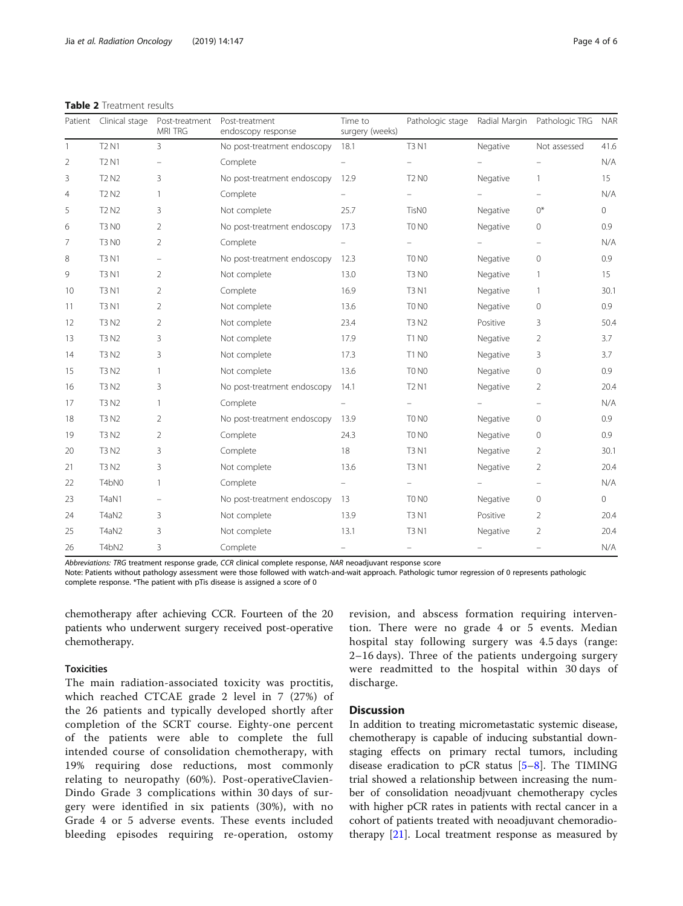<span id="page-3-0"></span>

| <b>Table 2</b> Treatment results |  |  |
|----------------------------------|--|--|
|----------------------------------|--|--|

|    | Patient Clinical stage        | Post-treatment<br><b>MRI TRG</b> | Post-treatment<br>endoscopy response | Time to<br>surgery (weeks) | Pathologic stage  | Radial Margin | Pathologic TRG | <b>NAR</b>     |
|----|-------------------------------|----------------------------------|--------------------------------------|----------------------------|-------------------|---------------|----------------|----------------|
| 1  | <b>T2 N1</b>                  | $\overline{3}$                   | No post-treatment endoscopy          | 18.1                       | <b>T3 N1</b>      | Negative      | Not assessed   | 41.6           |
| 2  | <b>T2 N1</b>                  |                                  | Complete                             |                            |                   |               |                | N/A            |
| 3  | T <sub>2</sub> N <sub>2</sub> | 3                                | No post-treatment endoscopy          | 12.9                       | <b>T2 N0</b>      | Negative      |                | 15             |
| 4  | T <sub>2</sub> N <sub>2</sub> |                                  | Complete                             |                            |                   |               |                | N/A            |
| 5  | <b>T2 N2</b>                  | 3                                | Not complete                         | 25.7                       | TisN <sub>0</sub> | Negative      | $0^*$          | $\circ$        |
| 6  | <b>T3 N0</b>                  | 2                                | No post-treatment endoscopy          | 17.3                       | TO NO             | Negative      | 0              | 0.9            |
| 7  | <b>T3 N0</b>                  | 2                                | Complete                             |                            |                   |               |                | N/A            |
| 8  | <b>T3 N1</b>                  |                                  | No post-treatment endoscopy          | 12.3                       | TO NO             | Negative      | $\circ$        | 0.9            |
| 9  | <b>T3 N1</b>                  | 2                                | Not complete                         | 13.0                       | <b>T3 N0</b>      | Negative      |                | 15             |
| 10 | <b>T3 N1</b>                  | 2                                | Complete                             | 16.9                       | <b>T3 N1</b>      | Negative      | $\mathbf{1}$   | 30.1           |
| 11 | <b>T3 N1</b>                  | 2                                | Not complete                         | 13.6                       | TO NO             | Negative      | 0              | 0.9            |
| 12 | T3 N2                         | 2                                | Not complete                         | 23.4                       | <b>T3 N2</b>      | Positive      | 3              | 50.4           |
| 13 | <b>T3 N2</b>                  | 3                                | Not complete                         | 17.9                       | <b>T1 N0</b>      | Negative      | 2              | 3.7            |
| 14 | <b>T3 N2</b>                  | 3                                | Not complete                         | 17.3                       | <b>T1 N0</b>      | Negative      | 3              | 3.7            |
| 15 | <b>T3 N2</b>                  |                                  | Not complete                         | 13.6                       | TO NO             | Negative      | 0              | 0.9            |
| 16 | T3 N2                         | 3                                | No post-treatment endoscopy          | 14.1                       | <b>T2 N1</b>      | Negative      | 2              | 20.4           |
| 17 | <b>T3 N2</b>                  |                                  | Complete                             |                            |                   |               |                | N/A            |
| 18 | T3 N2                         | 2                                | No post-treatment endoscopy          | 13.9                       | TO NO             | Negative      | 0              | 0.9            |
| 19 | T3 N2                         | 2                                | Complete                             | 24.3                       | TO NO             | Negative      | 0              | 0.9            |
| 20 | T3 N2                         | 3                                | Complete                             | 18                         | <b>T3 N1</b>      | Negative      | 2              | 30.1           |
| 21 | T3 N2                         | 3                                | Not complete                         | 13.6                       | <b>T3 N1</b>      | Negative      | 2              | 20.4           |
| 22 | T4bN0                         |                                  | Complete                             |                            |                   |               |                | N/A            |
| 23 | T4aN1                         |                                  | No post-treatment endoscopy          | -13                        | TO NO             | Negative      | 0              | $\overline{0}$ |
| 24 | T4aN2                         | 3                                | Not complete                         | 13.9                       | <b>T3 N1</b>      | Positive      | 2              | 20.4           |
| 25 | T4aN2                         | 3                                | Not complete                         | 13.1                       | <b>T3 N1</b>      | Negative      | 2              | 20.4           |
| 26 | T4bN2                         | 3                                | Complete                             |                            |                   |               |                | N/A            |

Abbreviations: TRG treatment response grade, CCR clinical complete response, NAR neoadjuvant response score

Note: Patients without pathology assessment were those followed with watch-and-wait approach. Pathologic tumor regression of 0 represents pathologic complete response. \*The patient with pTis disease is assigned a score of 0

chemotherapy after achieving CCR. Fourteen of the 20 patients who underwent surgery received post-operative chemotherapy.

# Toxicities

The main radiation-associated toxicity was proctitis, which reached CTCAE grade 2 level in 7 (27%) of the 26 patients and typically developed shortly after completion of the SCRT course. Eighty-one percent of the patients were able to complete the full intended course of consolidation chemotherapy, with 19% requiring dose reductions, most commonly relating to neuropathy (60%). Post-operativeClavien-Dindo Grade 3 complications within 30 days of surgery were identified in six patients (30%), with no Grade 4 or 5 adverse events. These events included bleeding episodes requiring re-operation, ostomy

revision, and abscess formation requiring intervention. There were no grade 4 or 5 events. Median hospital stay following surgery was 4.5 days (range: 2–16 days). Three of the patients undergoing surgery were readmitted to the hospital within 30 days of discharge.

# **Discussion**

In addition to treating micrometastatic systemic disease, chemotherapy is capable of inducing substantial downstaging effects on primary rectal tumors, including disease eradication to pCR status  $[5-8]$  $[5-8]$  $[5-8]$  $[5-8]$ . The TIMING trial showed a relationship between increasing the number of consolidation neoadjvuant chemotherapy cycles with higher pCR rates in patients with rectal cancer in a cohort of patients treated with neoadjuvant chemoradiotherapy [[21\]](#page-5-0). Local treatment response as measured by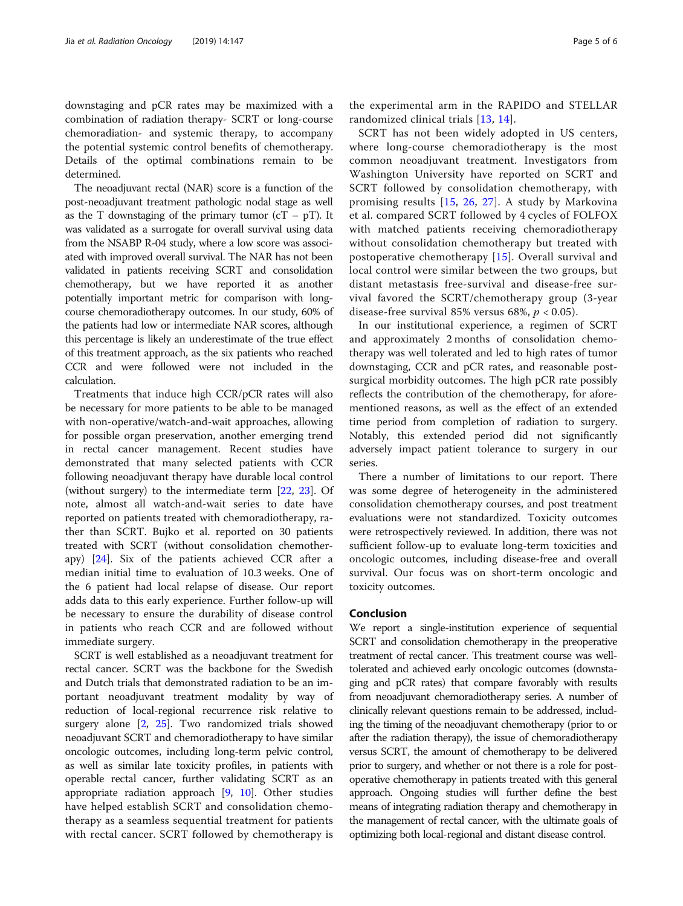downstaging and pCR rates may be maximized with a combination of radiation therapy- SCRT or long-course chemoradiation- and systemic therapy, to accompany the potential systemic control benefits of chemotherapy. Details of the optimal combinations remain to be determined.

The neoadjuvant rectal (NAR) score is a function of the post-neoadjuvant treatment pathologic nodal stage as well as the T downstaging of the primary tumor  $(cT - pT)$ . It was validated as a surrogate for overall survival using data from the NSABP R-04 study, where a low score was associated with improved overall survival. The NAR has not been validated in patients receiving SCRT and consolidation chemotherapy, but we have reported it as another potentially important metric for comparison with longcourse chemoradiotherapy outcomes. In our study, 60% of the patients had low or intermediate NAR scores, although this percentage is likely an underestimate of the true effect of this treatment approach, as the six patients who reached CCR and were followed were not included in the calculation.

Treatments that induce high CCR/pCR rates will also be necessary for more patients to be able to be managed with non-operative/watch-and-wait approaches, allowing for possible organ preservation, another emerging trend in rectal cancer management. Recent studies have demonstrated that many selected patients with CCR following neoadjuvant therapy have durable local control (without surgery) to the intermediate term [[22](#page-5-0), [23\]](#page-5-0). Of note, almost all watch-and-wait series to date have reported on patients treated with chemoradiotherapy, rather than SCRT. Bujko et al. reported on 30 patients treated with SCRT (without consolidation chemotherapy) [\[24](#page-5-0)]. Six of the patients achieved CCR after a median initial time to evaluation of 10.3 weeks. One of the 6 patient had local relapse of disease. Our report adds data to this early experience. Further follow-up will be necessary to ensure the durability of disease control in patients who reach CCR and are followed without immediate surgery.

SCRT is well established as a neoadjuvant treatment for rectal cancer. SCRT was the backbone for the Swedish and Dutch trials that demonstrated radiation to be an important neoadjuvant treatment modality by way of reduction of local-regional recurrence risk relative to surgery alone [[2,](#page-5-0) [25](#page-5-0)]. Two randomized trials showed neoadjuvant SCRT and chemoradiotherapy to have similar oncologic outcomes, including long-term pelvic control, as well as similar late toxicity profiles, in patients with operable rectal cancer, further validating SCRT as an appropriate radiation approach  $[9, 10]$  $[9, 10]$  $[9, 10]$ . Other studies have helped establish SCRT and consolidation chemotherapy as a seamless sequential treatment for patients with rectal cancer. SCRT followed by chemotherapy is

the experimental arm in the RAPIDO and STELLAR randomized clinical trials [[13](#page-5-0), [14\]](#page-5-0).

SCRT has not been widely adopted in US centers, where long-course chemoradiotherapy is the most common neoadjuvant treatment. Investigators from Washington University have reported on SCRT and SCRT followed by consolidation chemotherapy, with promising results [\[15,](#page-5-0) [26](#page-5-0), [27\]](#page-5-0). A study by Markovina et al. compared SCRT followed by 4 cycles of FOLFOX with matched patients receiving chemoradiotherapy without consolidation chemotherapy but treated with postoperative chemotherapy [[15\]](#page-5-0). Overall survival and local control were similar between the two groups, but distant metastasis free-survival and disease-free survival favored the SCRT/chemotherapy group (3-year disease-free survival 85% versus 68%,  $p < 0.05$ ).

In our institutional experience, a regimen of SCRT and approximately 2 months of consolidation chemotherapy was well tolerated and led to high rates of tumor downstaging, CCR and pCR rates, and reasonable postsurgical morbidity outcomes. The high pCR rate possibly reflects the contribution of the chemotherapy, for aforementioned reasons, as well as the effect of an extended time period from completion of radiation to surgery. Notably, this extended period did not significantly adversely impact patient tolerance to surgery in our series.

There a number of limitations to our report. There was some degree of heterogeneity in the administered consolidation chemotherapy courses, and post treatment evaluations were not standardized. Toxicity outcomes were retrospectively reviewed. In addition, there was not sufficient follow-up to evaluate long-term toxicities and oncologic outcomes, including disease-free and overall survival. Our focus was on short-term oncologic and toxicity outcomes.

# Conclusion

We report a single-institution experience of sequential SCRT and consolidation chemotherapy in the preoperative treatment of rectal cancer. This treatment course was welltolerated and achieved early oncologic outcomes (downstaging and pCR rates) that compare favorably with results from neoadjuvant chemoradiotherapy series. A number of clinically relevant questions remain to be addressed, including the timing of the neoadjuvant chemotherapy (prior to or after the radiation therapy), the issue of chemoradiotherapy versus SCRT, the amount of chemotherapy to be delivered prior to surgery, and whether or not there is a role for postoperative chemotherapy in patients treated with this general approach. Ongoing studies will further define the best means of integrating radiation therapy and chemotherapy in the management of rectal cancer, with the ultimate goals of optimizing both local-regional and distant disease control.